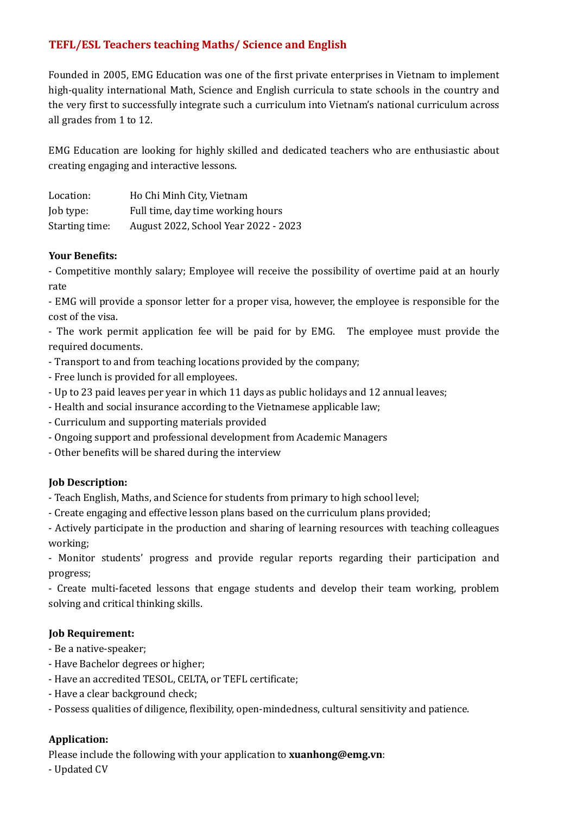# **TEFL/ESL Teachers teaching Maths/ Science and English**

Founded in 2005, EMG Education was one of the first private enterprises in Vietnam to implement high-quality international Math, Science and English curricula to state schools in the country and the very first to successfully integrate such a curriculum into Vietnam's national curriculum across all grades from 1 to 12.

EMG Education are looking for highly skilled and dedicated teachers who are enthusiastic about creating engaging and interactive lessons.

| Location:      | Ho Chi Minh City, Vietnam            |
|----------------|--------------------------------------|
| Job type:      | Full time, day time working hours    |
| Starting time: | August 2022, School Year 2022 - 2023 |

#### **Your Benefits:**

- Competitive monthly salary; Employee will receive the possibility of overtime paid at an hourly rate and the set of the set of the set of the set of the set of the set of the set of the set of the set of the set of the set of the set of the set of the set of the set of the set of the set of the set of the set of the

- EMG will provide a sponsor letter for a proper visa, however, the employee is responsible for the cost of the visa.

- The work permit application fee will be paid for by EMG. The employee must provide the required documents.

- Transport to and from teaching locations provided by the company;
- Free lunch is provided for all employees.
- Up to 23 paid leaves per year in which 11 days as public holidays and 12 annual leaves;
- Health and social insurance according to the Vietnamese applicable law;
- Curriculum and supporting materials provided
- Ongoing support and professional development from Academic Managers
- Other benefits will be shared during the interview

## **Job Description:**

- Teach English, Maths, and Science for students from primary to high school level;

- Create engaging and effective lesson plans based on the curriculum plans provided;

- Actively participate in the production and sharing of learning resources with teaching colleagues working;

- Monitor students' progress and provide regular reports regarding their participation and progress;

- Create multi-faceted lessons that engage students and develop their team working, problem solving and critical thinking skills.

## **Job Requirement:**

- Be a native-speaker;
- Have Bachelor degrees or higher;
- Have an accredited TESOL, CELTA, or TEFL certificate;
- Have a clear background check;
- Possess qualities of diligence, flexibility, open-mindedness, cultural sensitivity and patience.

## **Application:**

Please include the following with your application to **xuanhong@emg.vn**:

- Updated CV